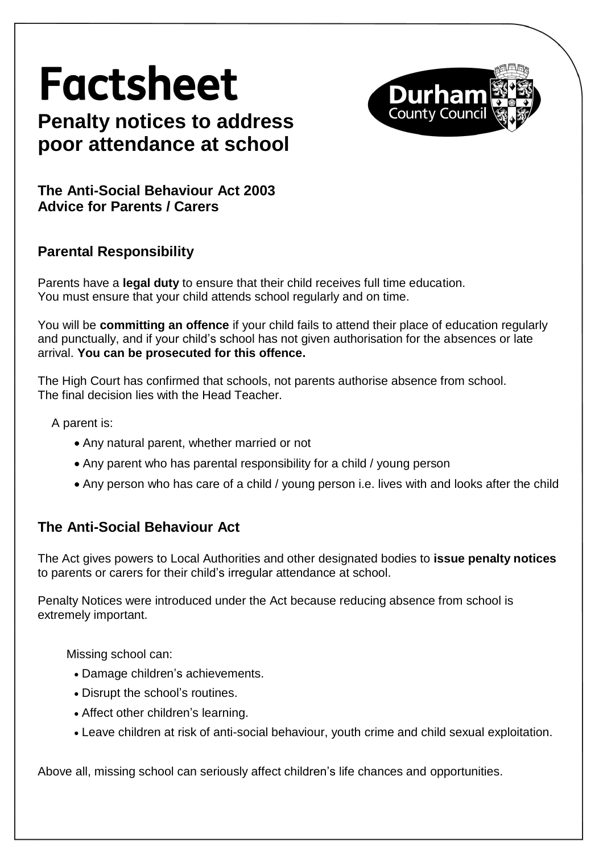# **Factsheet**



# **Penalty notices to address poor attendance at school**

**The Anti-Social Behaviour Act 2003 Advice for Parents / Carers**

## **Parental Responsibility**

Parents have a **legal duty** to ensure that their child receives full time education. You must ensure that your child attends school regularly and on time.

You will be **committing an offence** if your child fails to attend their place of education regularly and punctually, and if your child's school has not given authorisation for the absences or late arrival. **You can be prosecuted for this offence.**

The High Court has confirmed that schools, not parents authorise absence from school. The final decision lies with the Head Teacher.

A parent is:

- Any natural parent, whether married or not
- Any parent who has parental responsibility for a child / young person
- Any person who has care of a child / young person i.e. lives with and looks after the child

## **The Anti-Social Behaviour Act**

The Act gives powers to Local Authorities and other designated bodies to **issue penalty notices** to parents or carers for their child's irregular attendance at school.

Penalty Notices were introduced under the Act because reducing absence from school is extremely important.

Missing school can:

- Damage children's achievements.
- Disrupt the school's routines.
- Affect other children's learning.
- Leave children at risk of anti-social behaviour, youth crime and child sexual exploitation.

Above all, missing school can seriously affect children's life chances and opportunities.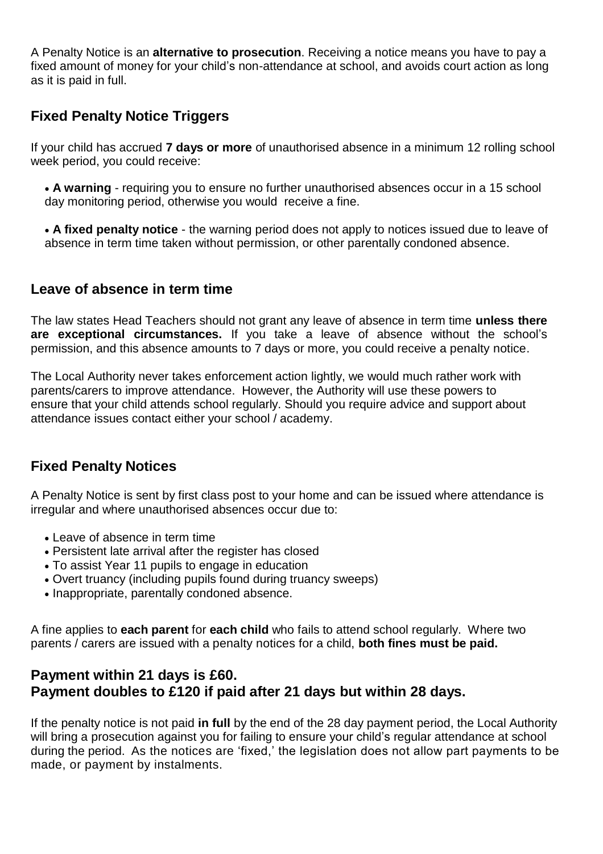A Penalty Notice is an **alternative to prosecution**. Receiving a notice means you have to pay a fixed amount of money for your child's non-attendance at school, and avoids court action as long as it is paid in full.

#### **Fixed Penalty Notice Triggers**

If your child has accrued **7 days or more** of unauthorised absence in a minimum 12 rolling school week period, you could receive:

- **A warning** requiring you to ensure no further unauthorised absences occur in a 15 school day monitoring period, otherwise you would receive a fine.
- **A fixed penalty notice** the warning period does not apply to notices issued due to leave of absence in term time taken without permission, or other parentally condoned absence.

#### **Leave of absence in term time**

The law states Head Teachers should not grant any leave of absence in term time **unless there are exceptional circumstances.** If you take a leave of absence without the school's permission, and this absence amounts to 7 days or more, you could receive a penalty notice.

The Local Authority never takes enforcement action lightly, we would much rather work with parents/carers to improve attendance. However, the Authority will use these powers to ensure that your child attends school regularly. Should you require advice and support about attendance issues contact either your school / academy.

#### **Fixed Penalty Notices**

A Penalty Notice is sent by first class post to your home and can be issued where attendance is irregular and where unauthorised absences occur due to:

- Leave of absence in term time
- Persistent late arrival after the register has closed
- To assist Year 11 pupils to engage in education
- Overt truancy (including pupils found during truancy sweeps)
- Inappropriate, parentally condoned absence.

A fine applies to **each parent** for **each child** who fails to attend school regularly. Where two parents / carers are issued with a penalty notices for a child, **both fines must be paid.**

#### **Payment within 21 days is £60. Payment doubles to £120 if paid after 21 days but within 28 days.**

If the penalty notice is not paid **in full** by the end of the 28 day payment period, the Local Authority will bring a prosecution against you for failing to ensure your child's regular attendance at school during the period. As the notices are 'fixed,' the legislation does not allow part payments to be made, or payment by instalments.